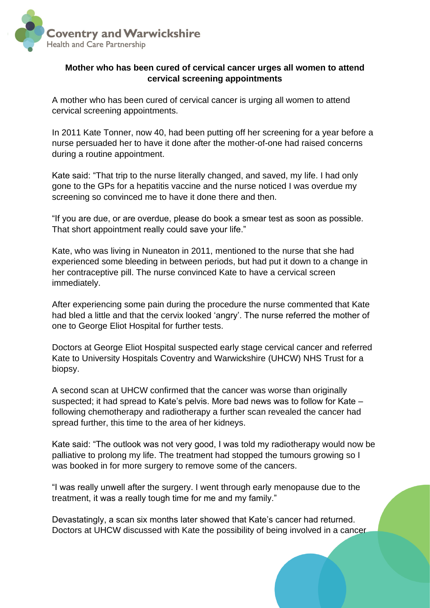

## **Mother who has been cured of cervical cancer urges all women to attend cervical screening appointments**

A mother who has been cured of cervical cancer is urging all women to attend cervical screening appointments.

In 2011 Kate Tonner, now 40, had been putting off her screening for a year before a nurse persuaded her to have it done after the mother-of-one had raised concerns during a routine appointment.

Kate said: "That trip to the nurse literally changed, and saved, my life. I had only gone to the GPs for a hepatitis vaccine and the nurse noticed I was overdue my screening so convinced me to have it done there and then.

"If you are due, or are overdue, please do book a smear test as soon as possible. That short appointment really could save your life."

Kate, who was living in Nuneaton in 2011, mentioned to the nurse that she had experienced some bleeding in between periods, but had put it down to a change in her contraceptive pill. The nurse convinced Kate to have a cervical screen immediately.

After experiencing some pain during the procedure the nurse commented that Kate had bled a little and that the cervix looked 'angry'. The nurse referred the mother of one to George Eliot Hospital for further tests.

Doctors at George Eliot Hospital suspected early stage cervical cancer and referred Kate to University Hospitals Coventry and Warwickshire (UHCW) NHS Trust for a biopsy.

A second scan at UHCW confirmed that the cancer was worse than originally suspected; it had spread to Kate's pelvis. More bad news was to follow for Kate – following chemotherapy and radiotherapy a further scan revealed the cancer had spread further, this time to the area of her kidneys.

Kate said: "The outlook was not very good, I was told my radiotherapy would now be palliative to prolong my life. The treatment had stopped the tumours growing so I was booked in for more surgery to remove some of the cancers.

"I was really unwell after the surgery. I went through early menopause due to the treatment, it was a really tough time for me and my family."

Devastatingly, a scan six months later showed that Kate's cancer had returned. Doctors at UHCW discussed with Kate the possibility of being involved in a cancer